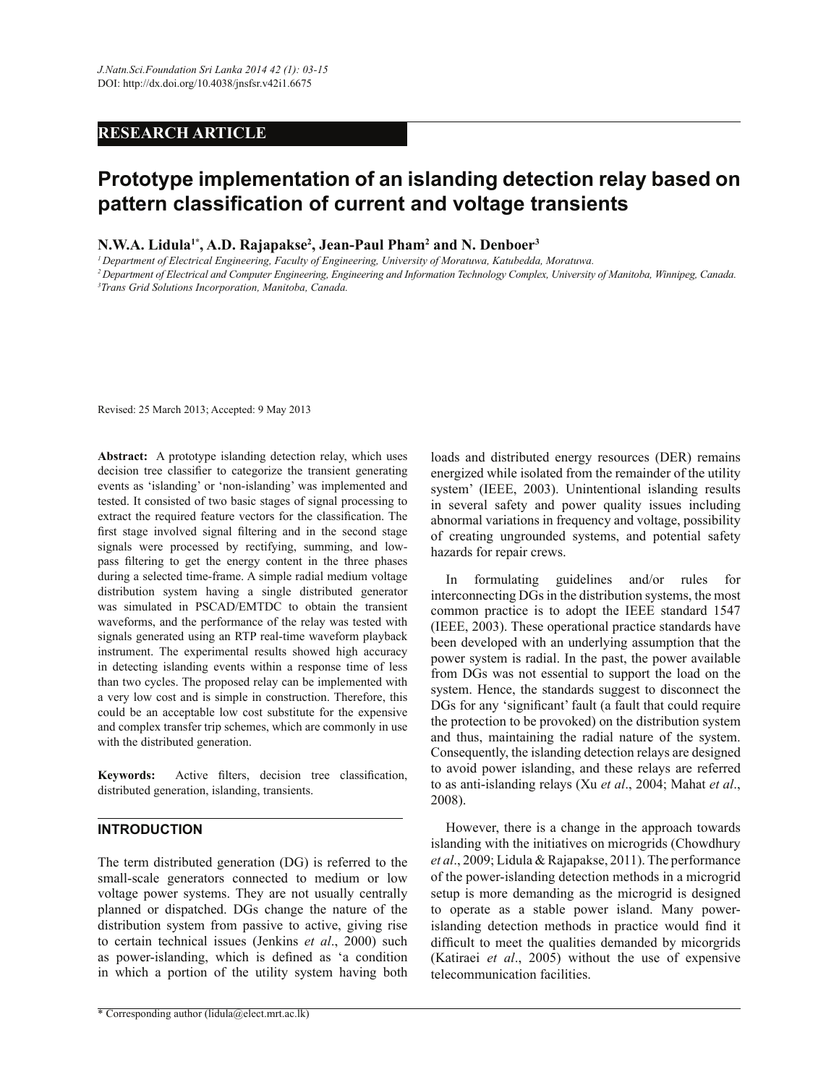## **RESEARCH ARTICLE**

# **Prototype implementation of an islanding detection relay based on pattern classification of current and voltage transients**

**N.W.A. Lidula1\*, A.D. Rajapakse<sup>2</sup> , Jean-Paul Pham<sup>2</sup> and N. Denboer<sup>3</sup>**

*<sup>1</sup>Department of Electrical Engineering, Faculty of Engineering, University of Moratuwa, Katubedda, Moratuwa.*

*<sup>2</sup>Department of Electrical and Computer Engineering, Engineering and Information Technology Complex, University of Manitoba, Winnipeg, Canada. 3Trans Grid Solutions Incorporation, Manitoba, Canada.*

Revised: 25 March 2013; Accepted: 9 May 2013

**Abstract:** A prototype islanding detection relay, which uses decision tree classifier to categorize the transient generating events as 'islanding' or 'non-islanding' was implemented and tested. It consisted of two basic stages of signal processing to extract the required feature vectors for the classification. The first stage involved signal filtering and in the second stage signals were processed by rectifying, summing, and lowpass filtering to get the energy content in the three phases during a selected time-frame. A simple radial medium voltage distribution system having a single distributed generator was simulated in PSCAD/EMTDC to obtain the transient waveforms, and the performance of the relay was tested with signals generated using an RTP real-time waveform playback instrument. The experimental results showed high accuracy in detecting islanding events within a response time of less than two cycles. The proposed relay can be implemented with a very low cost and is simple in construction. Therefore, this could be an acceptable low cost substitute for the expensive and complex transfer trip schemes, which are commonly in use with the distributed generation.

**Keywords:** Active filters, decision tree classification, distributed generation, islanding, transients.

## **INTRODUCTION**

The term distributed generation (DG) is referred to the small-scale generators connected to medium or low voltage power systems. They are not usually centrally planned or dispatched. DGs change the nature of the distribution system from passive to active, giving rise to certain technical issues (Jenkins *et al*., 2000) such as power-islanding, which is defined as 'a condition in which a portion of the utility system having both

loads and distributed energy resources (DER) remains energized while isolated from the remainder of the utility system' (IEEE, 2003). Unintentional islanding results in several safety and power quality issues including abnormal variations in frequency and voltage, possibility of creating ungrounded systems, and potential safety hazards for repair crews.

In formulating guidelines and/or rules for interconnecting DGs in the distribution systems, the most common practice is to adopt the IEEE standard 1547 (IEEE, 2003). These operational practice standards have been developed with an underlying assumption that the power system is radial. In the past, the power available from DGs was not essential to support the load on the system. Hence, the standards suggest to disconnect the DGs for any 'significant' fault (a fault that could require the protection to be provoked) on the distribution system and thus, maintaining the radial nature of the system. Consequently, the islanding detection relays are designed to avoid power islanding, and these relays are referred to as anti-islanding relays (Xu *et al*., 2004; Mahat *et al*., 2008).

However, there is a change in the approach towards islanding with the initiatives on microgrids (Chowdhury *et al*., 2009; Lidula & Rajapakse, 2011). The performance of the power-islanding detection methods in a microgrid setup is more demanding as the microgrid is designed to operate as a stable power island. Many powerislanding detection methods in practice would find it difficult to meet the qualities demanded by micorgrids (Katiraei *et al*., 2005) without the use of expensive telecommunication facilities.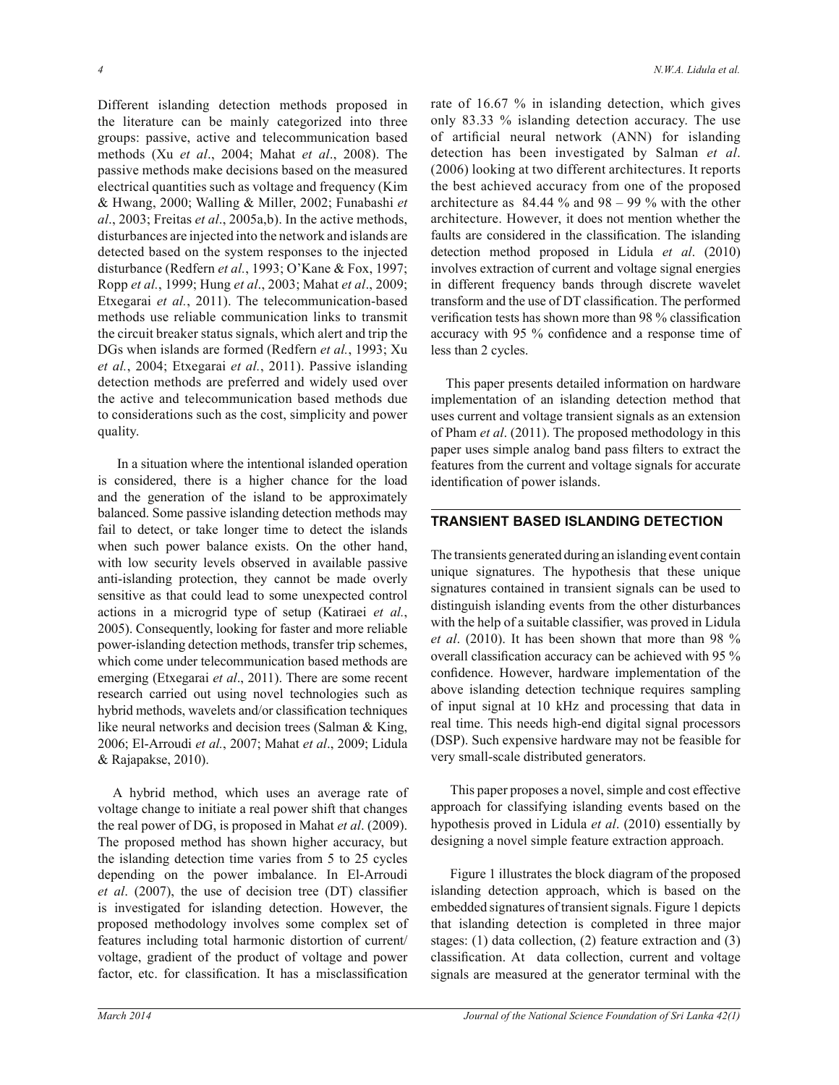Different islanding detection methods proposed in the literature can be mainly categorized into three groups: passive, active and telecommunication based methods (Xu *et al*., 2004; Mahat *et al*., 2008). The passive methods make decisions based on the measured electrical quantities such as voltage and frequency (Kim & Hwang, 2000; Walling & Miller, 2002; Funabashi *et al*., 2003; Freitas *et al*., 2005a,b). In the active methods, disturbances are injected into the network and islands are detected based on the system responses to the injected disturbance (Redfern *et al.*, 1993; O'Kane & Fox, 1997; Ropp *et al.*, 1999; Hung *et al*., 2003; Mahat *et al*., 2009; Etxegarai *et al.*, 2011). The telecommunication-based methods use reliable communication links to transmit the circuit breaker status signals, which alert and trip the DGs when islands are formed (Redfern *et al.*, 1993; Xu *et al.*, 2004; Etxegarai *et al.*, 2011). Passive islanding detection methods are preferred and widely used over the active and telecommunication based methods due to considerations such as the cost, simplicity and power quality.

In a situation where the intentional islanded operation is considered, there is a higher chance for the load and the generation of the island to be approximately balanced. Some passive islanding detection methods may fail to detect, or take longer time to detect the islands when such power balance exists. On the other hand, with low security levels observed in available passive anti-islanding protection, they cannot be made overly sensitive as that could lead to some unexpected control actions in a microgrid type of setup (Katiraei *et al.*, 2005). Consequently, looking for faster and more reliable power-islanding detection methods, transfer trip schemes, which come under telecommunication based methods are emerging (Etxegarai *et al*., 2011). There are some recent research carried out using novel technologies such as hybrid methods, wavelets and/or classification techniques like neural networks and decision trees (Salman & King, 2006; El-Arroudi *et al.*, 2007; Mahat *et al*., 2009; Lidula & Rajapakse, 2010).

A hybrid method, which uses an average rate of voltage change to initiate a real power shift that changes the real power of DG, is proposed in Mahat *et al*. (2009). The proposed method has shown higher accuracy, but the islanding detection time varies from 5 to 25 cycles depending on the power imbalance. In El-Arroudi *et al*. (2007), the use of decision tree (DT) classifier is investigated for islanding detection. However, the proposed methodology involves some complex set of features including total harmonic distortion of current/ voltage, gradient of the product of voltage and power factor, etc. for classification. It has a misclassification

rate of 16.67 % in islanding detection, which gives only 83.33 % islanding detection accuracy. The use of artificial neural network (ANN) for islanding detection has been investigated by Salman *et al*. (2006) looking at two different architectures. It reports the best achieved accuracy from one of the proposed architecture as  $84.44\%$  and  $98 - 99\%$  with the other architecture. However, it does not mention whether the faults are considered in the classification. The islanding detection method proposed in Lidula *et al*. (2010) involves extraction of current and voltage signal energies in different frequency bands through discrete wavelet transform and the use of DT classification. The performed verification tests has shown more than 98 % classification accuracy with 95 % confidence and a response time of less than 2 cycles.

This paper presents detailed information on hardware implementation of an islanding detection method that uses current and voltage transient signals as an extension of Pham *et al*. (2011). The proposed methodology in this paper uses simple analog band pass filters to extract the features from the current and voltage signals for accurate identification of power islands.

## **TRANSIENT BASED ISLANDING DETECTION**

The transients generated during an islanding event contain unique signatures. The hypothesis that these unique signatures contained in transient signals can be used to distinguish islanding events from the other disturbances with the help of a suitable classifier, was proved in Lidula *et al*. (2010). It has been shown that more than 98 % overall classification accuracy can be achieved with 95 % confidence. However, hardware implementation of the above islanding detection technique requires sampling of input signal at 10 kHz and processing that data in real time. This needs high-end digital signal processors (DSP). Such expensive hardware may not be feasible for very small-scale distributed generators.

 This paper proposes a novel, simple and cost effective approach for classifying islanding events based on the hypothesis proved in Lidula *et al*. (2010) essentially by designing a novel simple feature extraction approach.

 Figure 1 illustrates the block diagram of the proposed islanding detection approach, which is based on the embedded signatures of transient signals. Figure 1 depicts that islanding detection is completed in three major stages: (1) data collection, (2) feature extraction and (3) classification. At data collection, current and voltage signals are measured at the generator terminal with the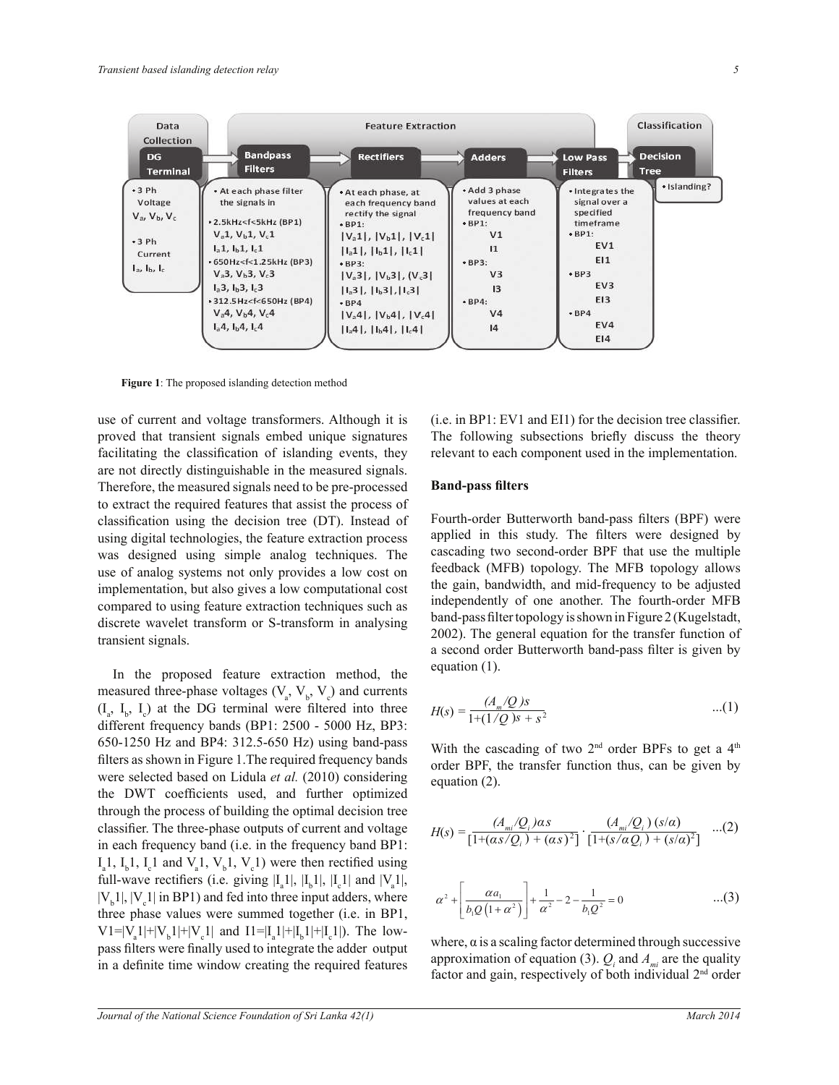

**Figure 1**: The proposed islanding detection method

use of current and voltage transformers. Although it is proved that transient signals embed unique signatures facilitating the classification of islanding events, they are not directly distinguishable in the measured signals. Therefore, the measured signals need to be pre-processed to extract the required features that assist the process of classification using the decision tree (DT). Instead of using digital technologies, the feature extraction process was designed using simple analog techniques. The use of analog systems not only provides a low cost on implementation, but also gives a low computational cost compared to using feature extraction techniques such as discrete wavelet transform or S-transform in analysing transient signals.

In the proposed feature extraction method, the measured three-phase voltages  $(V_a, V_b, V_c)$  and currents  $(I_{a}, I_{b}, I_{c})$  at the DG terminal were filtered into three different frequency bands (BP1: 2500 - 5000 Hz, BP3: 650-1250 Hz and BP4: 312.5-650 Hz) using band-pass filters as shown in Figure 1.The required frequency bands were selected based on Lidula *et al.* (2010) considering the DWT coefficients used, and further optimized through the process of building the optimal decision tree classifier. The three-phase outputs of current and voltage in each frequency band (i.e. in the frequency band BP1:  $I_a$ 1,  $I_b$ 1,  $I_c$ 1 and  $V_a$ 1,  $V_b$ 1,  $V_c$ 1) were then rectified using full-wave rectifiers (i.e. giving  $|I_a|, |I_b|, |I_c|$  and  $|V_a|,$  $|V_b1|, |V_c1|$  in BP1) and fed into three input adders, where three phase values were summed together (i.e. in BP1,  $V1 = |V_a1| + |V_b1| + |V_c1|$  and  $I1 = |I_a1| + |I_b1| + |I_c1|$ ). The lowpass filters were finally used to integrate the adder output in a definite time window creating the required features

(i.e. in BP1: EV1 and EI1) for the decision tree classifier. The following subsections briefly discuss the theory relevant to each component used in the implementation.

#### **Band-pass filters**

Fourth-order Butterworth band-pass filters (BPF) were applied in this study. The filters were designed by cascading two second-order BPF that use the multiple feedback (MFB) topology. The MFB topology allows the gain, bandwidth, and mid-frequency to be adjusted independently of one another. The fourth-order MFB band-pass filter topology is shown in Figure 2 (Kugelstadt, 2002). The general equation for the transfer function of a second order Butterworth band-pass filter is given by equation (1).

$$
H(s) = \frac{(A_m/Q)s}{1 + (1/Q)s + s^2} \qquad ...(1)
$$

With the cascading of two  $2<sup>nd</sup>$  order BPFs to get a  $4<sup>th</sup>$ order BPF, the transfer function thus, can be given by equation (2).

$$
H(s) = \frac{(A_{mi}/Q_i)\alpha s}{[1 + (\alpha s/Q_i) + (\alpha s)^2]} \cdot \frac{(A_{mi}/Q_i)(s/\alpha)}{[1 + (s/\alpha Q_i) + (s/\alpha)^2]} \quad ...(2)
$$

$$
\alpha^2 + \left[ \frac{\alpha a_1}{b_1 Q \left( 1 + \alpha^2 \right)} \right] + \frac{1}{\alpha^2} - 2 - \frac{1}{b_1 Q^2} = 0 \qquad \qquad \dots (3)
$$

where,  $\alpha$  is a scaling factor determined through successive approximation of equation (3).  $Q_i$  and  $A_{mi}$  are the quality factor and gain, respectively of both individual 2<sup>nd</sup> order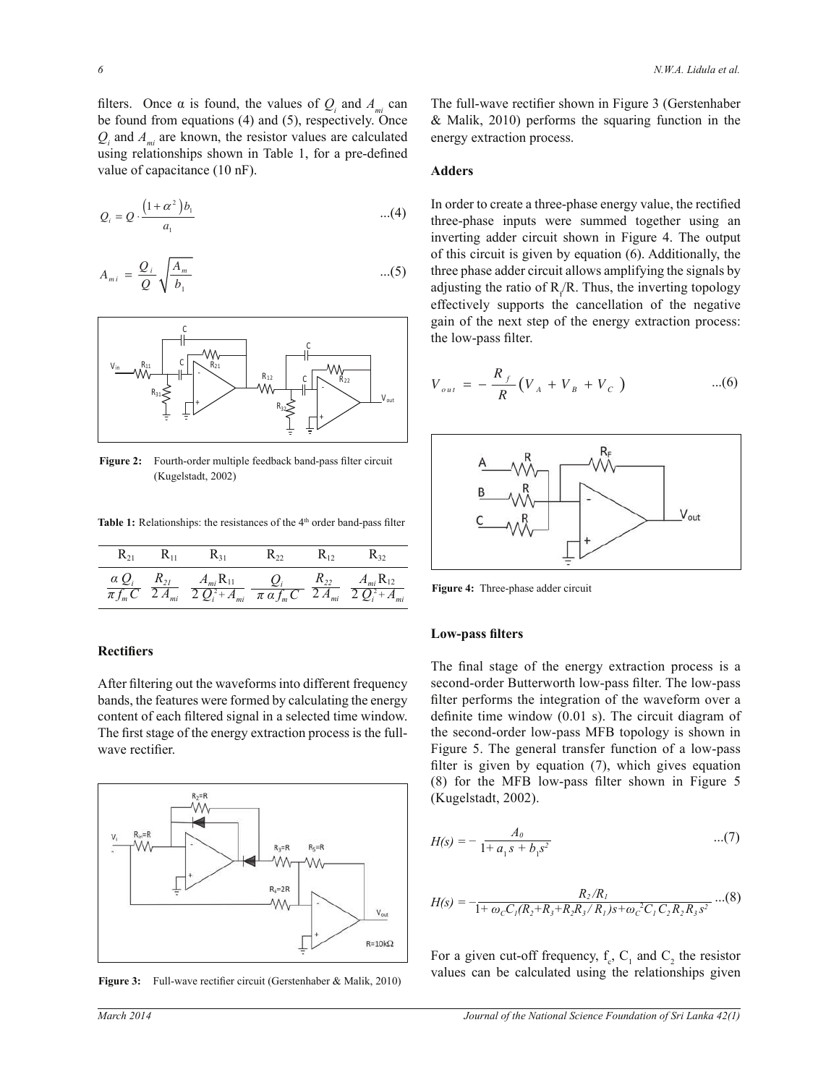filters. Once  $\alpha$  is found, the values of  $Q_i$  and  $A_{mi}$  can be found from equations (4) and (5), respectively. Once  $Q_i$  and  $A_{mi}$  are known, the resistor values are calculated using relationships shown in Table 1, for a pre-defined value of capacitance (10 nF).

$$
Q_i = Q \cdot \frac{\left(1 + \alpha^2\right) b_1}{a_1} \qquad \qquad \dots (4)
$$

$$
A_{mi} = \frac{Q_i}{Q} \sqrt{\frac{A_m}{b_1}} \qquad ...(5)
$$



Figure 2: Fourth-order multiple feedback band-pass filter circuit (Kugelstadt, 2002)

Table 1: Relationships: the resistances of the 4<sup>th</sup> order band-pass filter

| $\mathbf{R}_{21}$ | $\rm R_{11}$ | R31                                                                                                                                                                                                                                | $K_{22}$ | $\rm K_{12}$ | K32 |
|-------------------|--------------|------------------------------------------------------------------------------------------------------------------------------------------------------------------------------------------------------------------------------------|----------|--------------|-----|
|                   |              | $\alpha Q_i$ $R_{21}$ $A_{mi}R_{11}$ $Q_i$ $R_{22}$ $A_{mi}R_{12}$<br>$\overline{\pi f_m C}$ $\overline{2 A_{mi}}$ $\overline{2 Q_i^2 + A_{mi}}$ $\overline{\pi \alpha f_m C}$ $\overline{2 A_{mi}}$ $\overline{2 Q_i^2 + A_{mi}}$ |          |              |     |

#### **Rectifiers**

After filtering out the waveforms into different frequency bands, the features were formed by calculating the energy content of each filtered signal in a selected time window. The first stage of the energy extraction process is the fullwave rectifier.



**Figure 3:** Full-wave rectifier circuit (Gerstenhaber & Malik, 2010)

The full-wave rectifier shown in Figure 3 (Gerstenhaber & Malik, 2010) performs the squaring function in the energy extraction process.

#### **Adders**

In order to create a three-phase energy value, the rectified three-phase inputs were summed together using an inverting adder circuit shown in Figure 4. The output of this circuit is given by equation (6). Additionally, the three phase adder circuit allows amplifying the signals by adjusting the ratio of  $R_f/R$ . Thus, the inverting topology effectively supports the cancellation of the negative gain of the next step of the energy extraction process: the low-pass filter.

$$
V_{out} = -\frac{R_f}{R} (V_A + V_B + V_C) \qquad ...(6)
$$



**Figure 4:** Three-phase adder circuit

#### **Low-pass filters**

The final stage of the energy extraction process is a second-order Butterworth low-pass filter. The low-pass filter performs the integration of the waveform over a definite time window (0.01 s). The circuit diagram of the second-order low-pass MFB topology is shown in Figure 5. The general transfer function of a low-pass filter is given by equation (7), which gives equation (8) for the MFB low-pass filter shown in Figure 5 (Kugelstadt, 2002).

$$
H(s) = -\frac{A_0}{1 + a_1 s + b_1 s^2} \qquad ...(7)
$$

$$
H(s) = -\frac{R_2/R_1}{1 + \omega_c C_1 (R_2 + R_3 + R_2 R_3 / R_1) s + \omega_c^2 C_1 C_2 R_2 R_3 s^2} \dots (8)
$$

For a given cut-off frequency,  $f_c$ ,  $C_1$  and  $C_2$  the resistor values can be calculated using the relationships given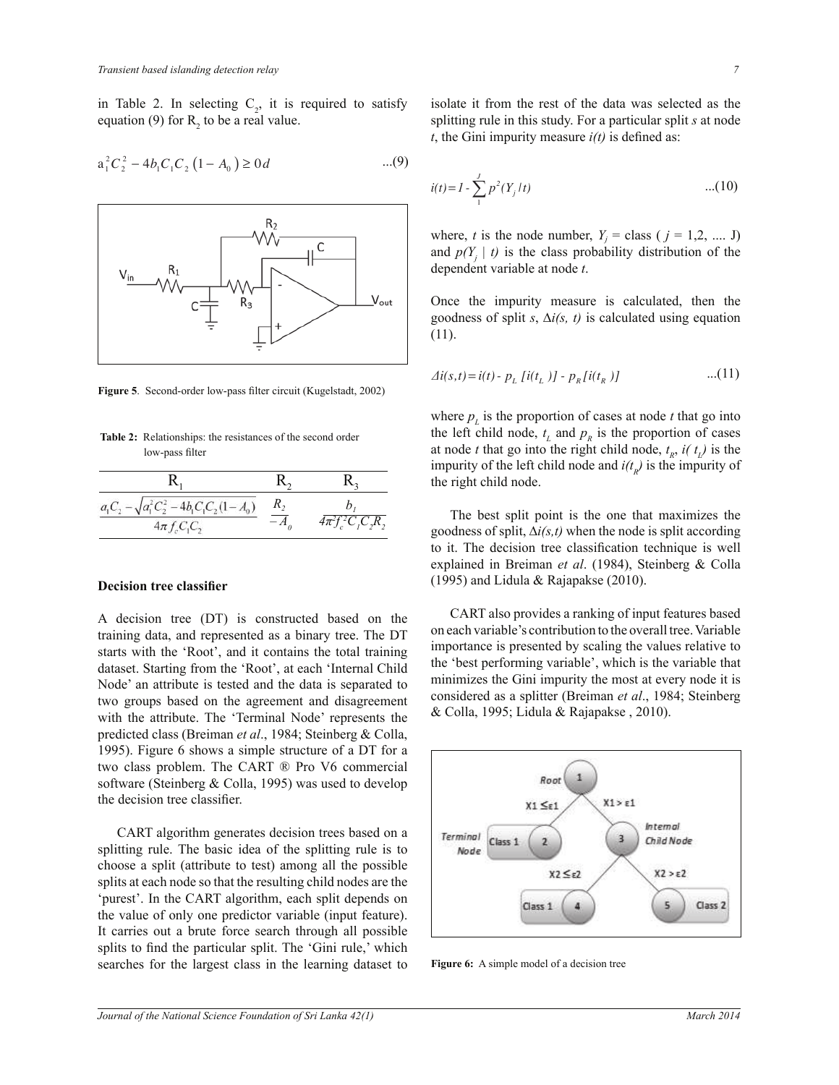in Table 2. In selecting  $C_2$ , it is required to satisfy equation (9) for  $R_2$  to be a real value.

$$
a_1^2 C_2^2 - 4b_1 C_1 C_2 (1 - A_0) \ge 0 d \qquad \qquad ...(9)
$$



**Figure 5**. Second-order low-pass filter circuit (Kugelstadt, 2002)

**Table 2:** Relationships: the resistances of the second order low-pass filter

| $a_1C_2 - \sqrt{a_1^2C_2^2 - 4b_1C_1C_2(1-A_0)}$ |                            |
|--------------------------------------------------|----------------------------|
| $4\pi f_c C_1 C_2$                               | $4\pi^2 f_c^2 C_r C_r R$ , |

#### **Decision tree classifier**

A decision tree (DT) is constructed based on the training data, and represented as a binary tree. The DT starts with the 'Root', and it contains the total training dataset. Starting from the 'Root', at each 'Internal Child Node' an attribute is tested and the data is separated to two groups based on the agreement and disagreement with the attribute. The 'Terminal Node' represents the predicted class (Breiman *et al*., 1984; Steinberg & Colla, 1995). Figure 6 shows a simple structure of a DT for a two class problem. The CART ® Pro V6 commercial software (Steinberg & Colla, 1995) was used to develop the decision tree classifier.

 CART algorithm generates decision trees based on a splitting rule. The basic idea of the splitting rule is to choose a split (attribute to test) among all the possible splits at each node so that the resulting child nodes are the 'purest'. In the CART algorithm, each split depends on the value of only one predictor variable (input feature). It carries out a brute force search through all possible splits to find the particular split. The 'Gini rule,' which searches for the largest class in the learning dataset to isolate it from the rest of the data was selected as the splitting rule in this study. For a particular split *s* at node  $t$ , the Gini impurity measure  $i(t)$  is defined as:

$$
i(t) = I - \sum_{1}^{J} p^2 (Y_j / t) \tag{10}
$$

where, *t* is the node number,  $Y_j = \text{class}$  (  $j = 1, 2, \dots$  J) and  $p(Y_j | t)$  is the class probability distribution of the dependent variable at node *t*.

Once the impurity measure is calculated, then the goodness of split *s*, ∆*i(s, t)* is calculated using equation (11).

$$
\Delta i(s,t) = i(t) - p_L [i(t_L)] - p_R [i(t_R)] \qquad ...(11)
$$

where  $p<sub>L</sub>$  is the proportion of cases at node *t* that go into the left child node,  $t_L$  and  $p_R$  is the proportion of cases at node *t* that go into the right child node,  $t_R$ ,  $i(t_L)$  is the impurity of the left child node and  $i(t_R)$  is the impurity of the right child node.

 The best split point is the one that maximizes the goodness of split, ∆*i(s,t)* when the node is split according to it. The decision tree classification technique is well explained in Breiman *et al*. (1984), Steinberg & Colla (1995) and Lidula & Rajapakse (2010).

 CART also provides a ranking of input features based on each variable's contribution to the overall tree. Variable importance is presented by scaling the values relative to the 'best performing variable', which is the variable that minimizes the Gini impurity the most at every node it is considered as a splitter (Breiman *et al*., 1984; Steinberg & Colla, 1995; Lidula & Rajapakse , 2010).



**Figure 6:** A simple model of a decision tree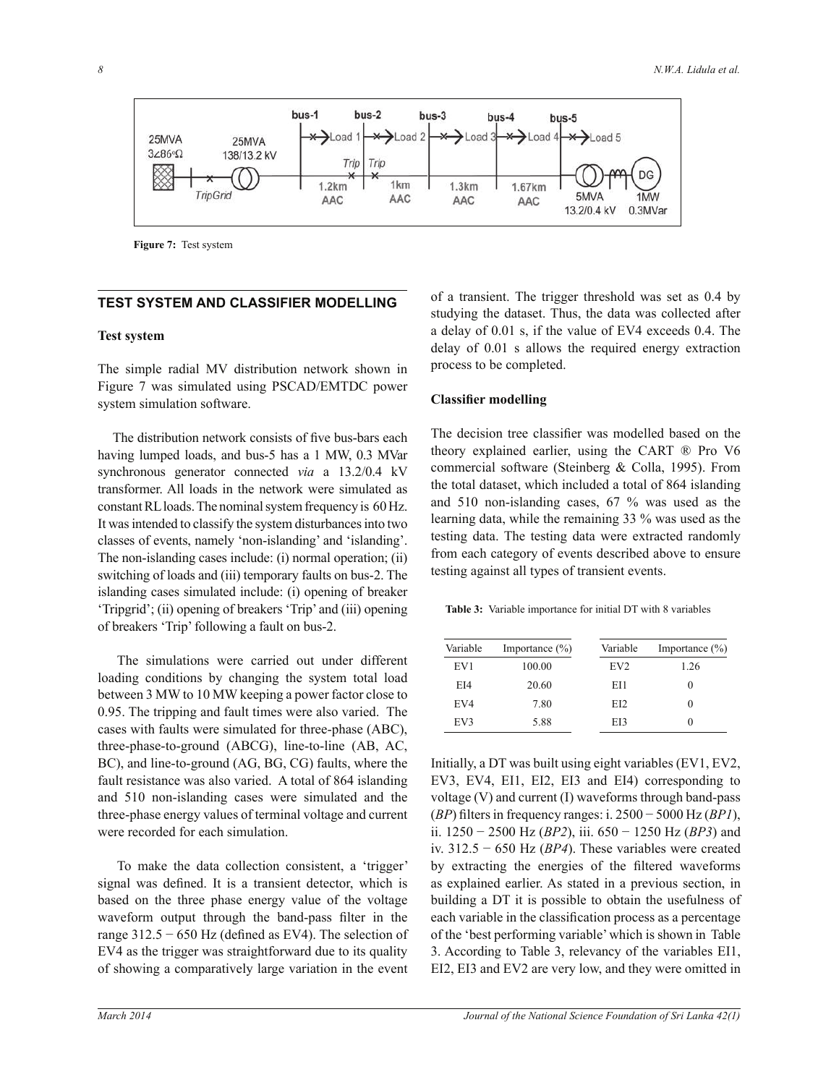

**Figure 7:** Test system

## **TEST SYSTEM AND CLASSIFIER MODELLING**

#### **Test system**

The simple radial MV distribution network shown in Figure 7 was simulated using PSCAD/EMTDC power system simulation software.

The distribution network consists of five bus-bars each having lumped loads, and bus-5 has a 1 MW, 0.3 MVar synchronous generator connected *via* a 13.2/0.4 kV transformer. All loads in the network were simulated as constant RL loads. The nominal system frequency is 60 Hz. It was intended to classify the system disturbances into two classes of events, namely 'non-islanding' and 'islanding'. The non-islanding cases include: (i) normal operation; (ii) switching of loads and (iii) temporary faults on bus-2. The islanding cases simulated include: (i) opening of breaker 'Tripgrid'; (ii) opening of breakers 'Trip' and (iii) opening of breakers 'Trip' following a fault on bus-2.

The simulations were carried out under different loading conditions by changing the system total load between 3 MW to 10 MW keeping a power factor close to 0.95. The tripping and fault times were also varied. The cases with faults were simulated for three-phase (ABC), three-phase-to-ground (ABCG), line-to-line (AB, AC, BC), and line-to-ground (AG, BG, CG) faults, where the fault resistance was also varied. A total of 864 islanding and 510 non-islanding cases were simulated and the three-phase energy values of terminal voltage and current were recorded for each simulation.

To make the data collection consistent, a 'trigger' signal was defined. It is a transient detector, which is based on the three phase energy value of the voltage waveform output through the band-pass filter in the range  $312.5 - 650$  Hz (defined as EV4). The selection of EV4 as the trigger was straightforward due to its quality of showing a comparatively large variation in the event

of a transient. The trigger threshold was set as 0.4 by studying the dataset. Thus, the data was collected after a delay of 0.01 s, if the value of EV4 exceeds 0.4. The delay of 0.01 s allows the required energy extraction process to be completed.

#### **Classifier modelling**

The decision tree classifier was modelled based on the theory explained earlier, using the CART ® Pro V6 commercial software (Steinberg & Colla, 1995). From the total dataset, which included a total of 864 islanding and 510 non-islanding cases, 67 % was used as the learning data, while the remaining 33 % was used as the testing data. The testing data were extracted randomly from each category of events described above to ensure testing against all types of transient events.

**Table 3:** Variable importance for initial DT with 8 variables

| Variable | Importance $(\% )$ | Variable        | Importance $(\% )$ |
|----------|--------------------|-----------------|--------------------|
| EV1      | 100.00             | EV <sub>2</sub> | 1.26               |
| EI4      | 20.60              | EH.             | $\mathbf{0}$       |
| EV4      | 7.80               | EI2             | $\left( \right)$   |
| EV3      | 5.88               | EI3             | $\theta$           |

Initially, a DT was built using eight variables (EV1, EV2, EV3, EV4, EI1, EI2, EI3 and EI4) corresponding to voltage (V) and current (I) waveforms through band-pass (*BP*) filters in frequency ranges: i. 2500 − 5000 Hz (*BP1*), ii. 1250 − 2500 Hz (*BP2*), iii. 650 − 1250 Hz (*BP3*) and iv. 312.5 − 650 Hz (*BP4*). These variables were created by extracting the energies of the filtered waveforms as explained earlier. As stated in a previous section, in building a DT it is possible to obtain the usefulness of each variable in the classification process as a percentage of the 'best performing variable' which is shown in Table 3. According to Table 3, relevancy of the variables EI1, EI2, EI3 and EV2 are very low, and they were omitted in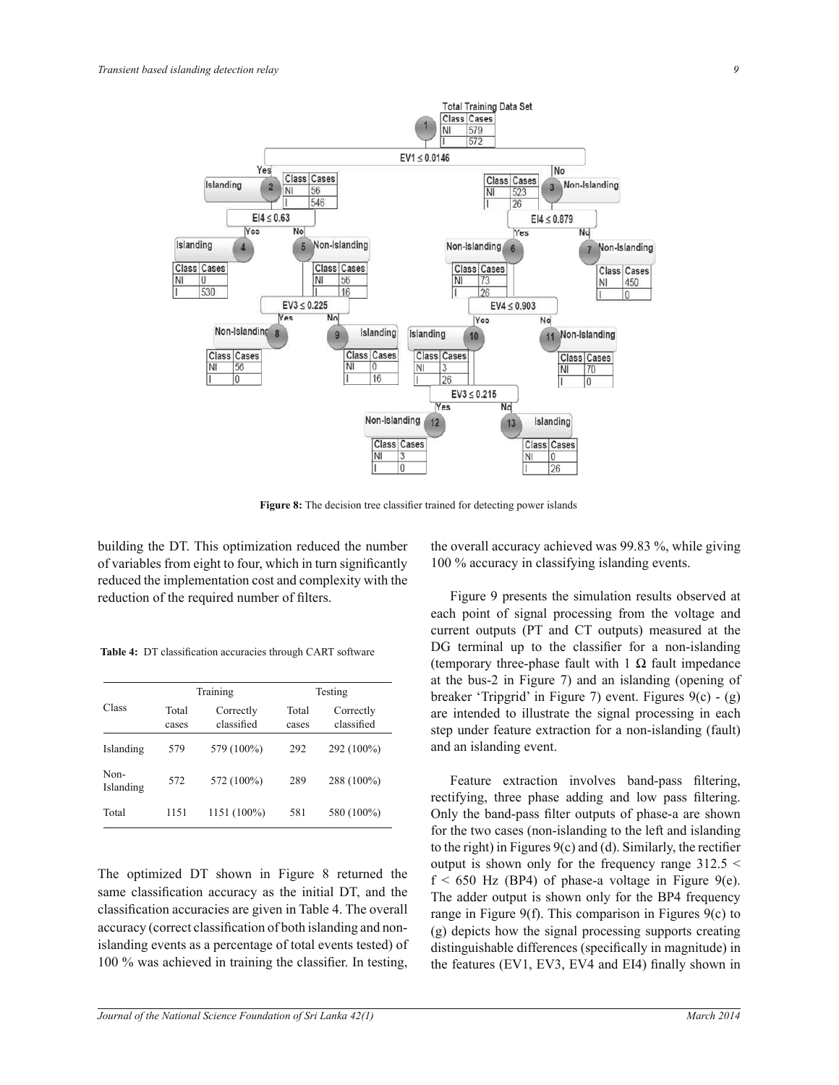

**Figure 8:** The decision tree classifier trained for detecting power islands

building the DT. This optimization reduced the number of variables from eight to four, which in turn significantly reduced the implementation cost and complexity with the reduction of the required number of filters.

**Table 4:** DT classification accuracies through CART software

| Class             |                | Training                | Testing        |                         |  |
|-------------------|----------------|-------------------------|----------------|-------------------------|--|
|                   | Total<br>cases | Correctly<br>classified | Total<br>cases | Correctly<br>classified |  |
| Islanding         | 579            | 579 (100%)              | 292            | 292 (100%)              |  |
| Non-<br>Islanding | 572            | 572 (100%)              | 289            | 288 (100%)              |  |
| Total             | 1151           | 1151 (100%)             | 581            | 580 (100%)              |  |

The optimized DT shown in Figure 8 returned the same classification accuracy as the initial DT, and the classification accuracies are given in Table 4. The overall accuracy (correct classification of both islanding and nonislanding events as a percentage of total events tested) of 100 % was achieved in training the classifier. In testing,

the overall accuracy achieved was 99.83 %, while giving 100 % accuracy in classifying islanding events.

 Figure 9 presents the simulation results observed at each point of signal processing from the voltage and current outputs (PT and CT outputs) measured at the DG terminal up to the classifier for a non-islanding (temporary three-phase fault with  $1 \Omega$  fault impedance at the bus-2 in Figure 7) and an islanding (opening of breaker 'Tripgrid' in Figure 7) event. Figures 9(c) - (g) are intended to illustrate the signal processing in each step under feature extraction for a non-islanding (fault) and an islanding event.

Feature extraction involves band-pass filtering, rectifying, three phase adding and low pass filtering. Only the band-pass filter outputs of phase-a are shown for the two cases (non-islanding to the left and islanding to the right) in Figures 9(c) and (d). Similarly, the rectifier output is shown only for the frequency range  $312.5 <$  $f < 650$  Hz (BP4) of phase-a voltage in Figure 9(e). The adder output is shown only for the BP4 frequency range in Figure 9(f). This comparison in Figures 9(c) to (g) depicts how the signal processing supports creating distinguishable differences (specifically in magnitude) in the features (EV1, EV3, EV4 and EI4) finally shown in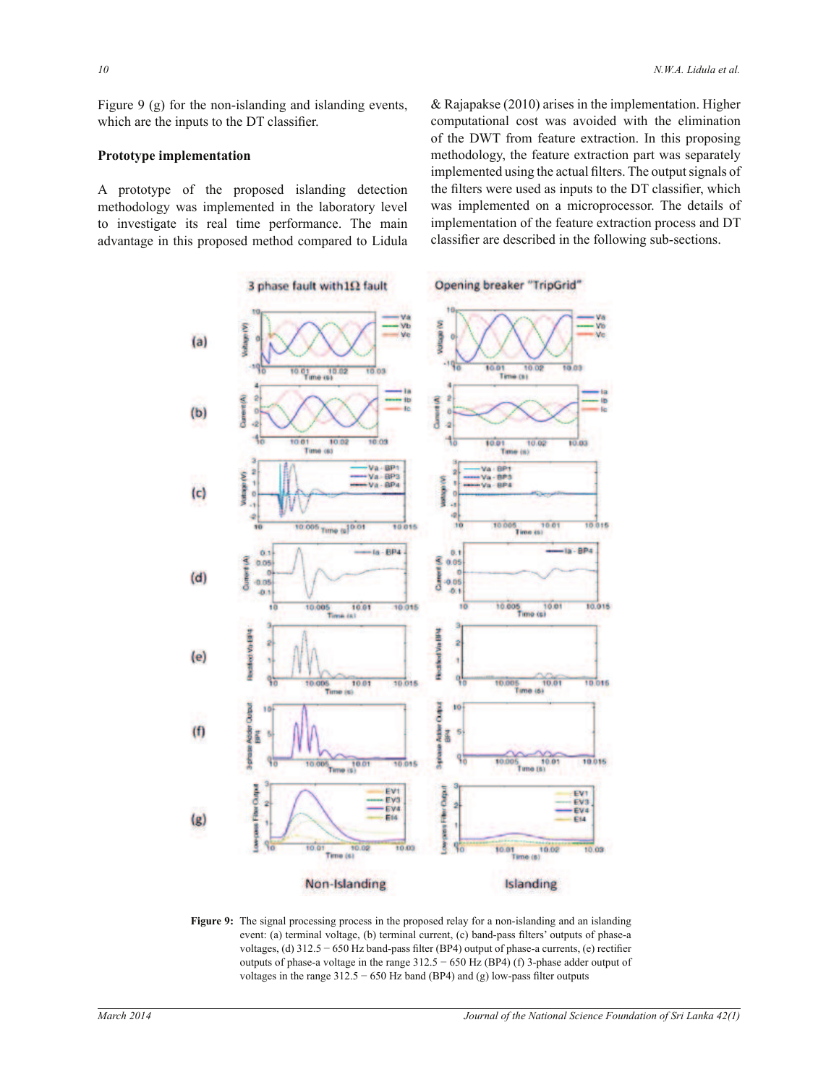Figure 9 (g) for the non-islanding and islanding events, which are the inputs to the DT classifier.

#### **Prototype implementation**

A prototype of the proposed islanding detection methodology was implemented in the laboratory level to investigate its real time performance. The main advantage in this proposed method compared to Lidula & Rajapakse (2010) arises in the implementation. Higher computational cost was avoided with the elimination of the DWT from feature extraction. In this proposing methodology, the feature extraction part was separately implemented using the actual filters. The output signals of the filters were used as inputs to the DT classifier, which was implemented on a microprocessor. The details of implementation of the feature extraction process and DT classifier are described in the following sub-sections.



**Figure 9:** The signal processing process in the proposed relay for a non-islanding and an islanding event: (a) terminal voltage, (b) terminal current, (c) band-pass filters' outputs of phase-a voltages, (d) 312.5 − 650 Hz band-pass filter (BP4) output of phase-a currents, (e) rectifier outputs of phase-a voltage in the range  $312.5 - 650$  Hz (BP4) (f) 3-phase adder output of voltages in the range  $312.5 - 650$  Hz band (BP4) and (g) low-pass filter outputs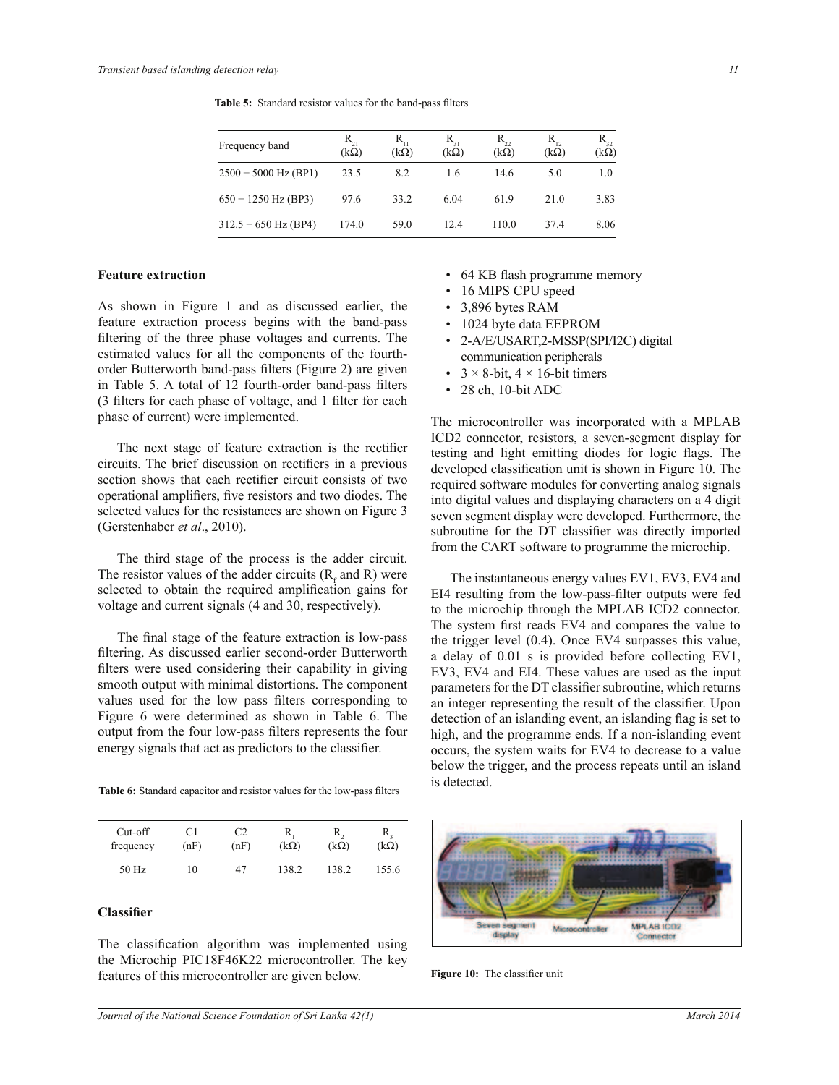**Table 5:** Standard resistor values for the band-pass filters

| Frequency band         | $R_{21}$<br>$(k\Omega)$ | $R_{11}$<br>$(k\Omega)$ | $R_{31}$<br>$(k\Omega)$ | $R_{22}$<br>$(k\Omega)$ | $R_{12}$<br>$(k\Omega)$ | $R_{32}$<br>$(k\Omega)$ |
|------------------------|-------------------------|-------------------------|-------------------------|-------------------------|-------------------------|-------------------------|
| $2500 - 5000$ Hz (BP1) | 23.5                    | 8.2                     | 1.6                     | 14.6                    | 5.0                     | 1.0                     |
| $650 - 1250$ Hz (BP3)  | 97.6                    | 33.2                    | 6.04                    | 61.9                    | 21.0                    | 3.83                    |
| $312.5 - 650$ Hz (BP4) | 174.0                   | 59.0                    | 12.4                    | 110.0                   | 374                     | 8.06                    |

#### **Feature extraction**

As shown in Figure 1 and as discussed earlier, the feature extraction process begins with the band-pass filtering of the three phase voltages and currents. The estimated values for all the components of the fourthorder Butterworth band-pass filters (Figure 2) are given in Table 5. A total of 12 fourth-order band-pass filters (3 filters for each phase of voltage, and 1 filter for each phase of current) were implemented.

The next stage of feature extraction is the rectifier circuits. The brief discussion on rectifiers in a previous section shows that each rectifier circuit consists of two operational amplifiers, five resistors and two diodes. The selected values for the resistances are shown on Figure 3 (Gerstenhaber *et al*., 2010).

 The third stage of the process is the adder circuit. The resistor values of the adder circuits  $(R_f$  and R) were selected to obtain the required amplification gains for voltage and current signals (4 and 30, respectively).

 The final stage of the feature extraction is low-pass filtering. As discussed earlier second-order Butterworth filters were used considering their capability in giving smooth output with minimal distortions. The component values used for the low pass filters corresponding to Figure 6 were determined as shown in Table 6. The output from the four low-pass filters represents the four energy signals that act as predictors to the classifier.

**Table 6:** Standard capacitor and resistor values for the low-pass filters

| $Cut-off$<br>frequency | (nF) | (nF) | R<br>$(k\Omega)$ | $(k\Omega)$ | $(k\Omega)$ |
|------------------------|------|------|------------------|-------------|-------------|
| 50 Hz                  | 10   | 47   | 138.2            | 138.2       | 155.6       |

#### **Classifier**

The classification algorithm was implemented using the Microchip PIC18F46K22 microcontroller. The key features of this microcontroller are given below.

- 64 KB flash programme memory
- 16 MIPS CPU speed
- 3,896 bytes RAM
- 1024 byte data EEPROM
- 2-A/E/USART,2-MSSP(SPI/I2C) digital communication peripherals
- $3 \times 8$ -bit,  $4 \times 16$ -bit timers
- 28 ch, 10-bit ADC

The microcontroller was incorporated with a MPLAB ICD2 connector, resistors, a seven-segment display for testing and light emitting diodes for logic flags. The developed classification unit is shown in Figure 10. The required software modules for converting analog signals into digital values and displaying characters on a 4 digit seven segment display were developed. Furthermore, the subroutine for the DT classifier was directly imported from the CART software to programme the microchip.

 The instantaneous energy values EV1, EV3, EV4 and EI4 resulting from the low-pass-filter outputs were fed to the microchip through the MPLAB ICD2 connector. The system first reads EV4 and compares the value to the trigger level (0.4). Once EV4 surpasses this value, a delay of 0.01 s is provided before collecting EV1, EV3, EV4 and EI4. These values are used as the input parameters for the DT classifier subroutine, which returns an integer representing the result of the classifier. Upon detection of an islanding event, an islanding flag is set to high, and the programme ends. If a non-islanding event occurs, the system waits for EV4 to decrease to a value below the trigger, and the process repeats until an island is detected.

![](_page_8_Picture_21.jpeg)

**Figure 10:** The classifier unit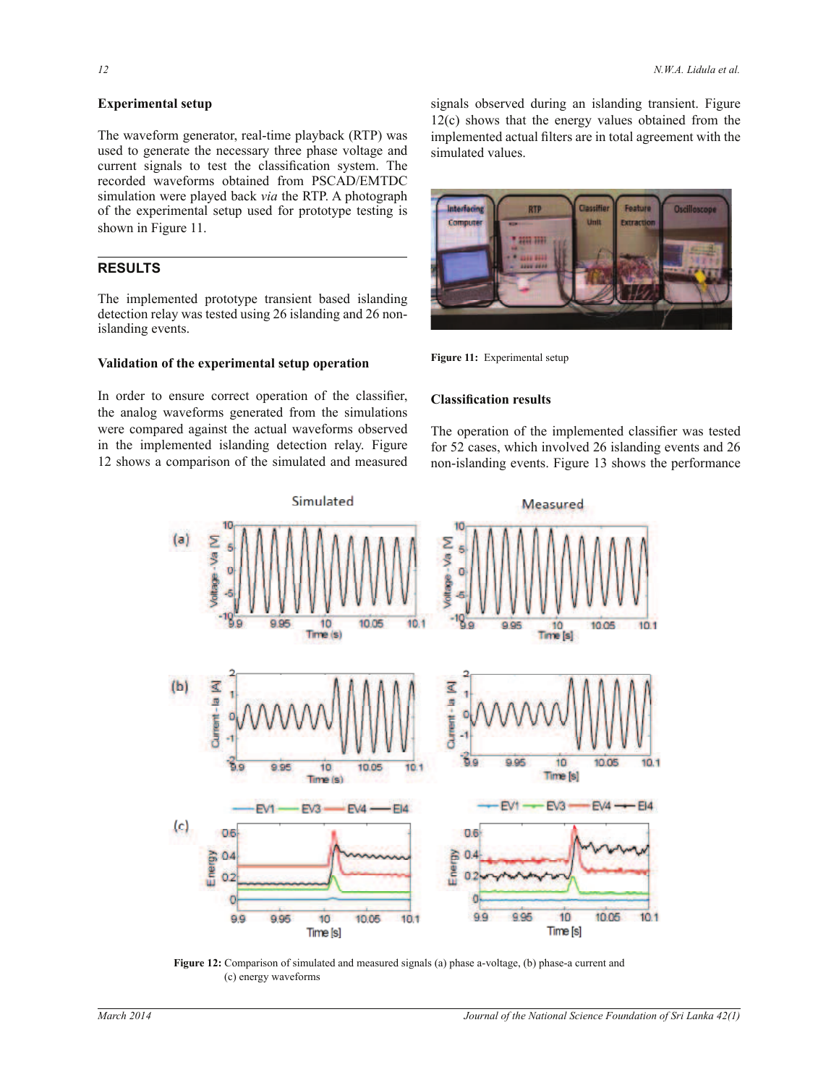### **Experimental setup**

The waveform generator, real-time playback (RTP) was used to generate the necessary three phase voltage and current signals to test the classification system. The recorded waveforms obtained from PSCAD/EMTDC simulation were played back *via* the RTP. A photograph of the experimental setup used for prototype testing is shown in Figure 11.

## **RESULTS**

The implemented prototype transient based islanding detection relay was tested using 26 islanding and 26 nonislanding events.

## **Validation of the experimental setup operation**

In order to ensure correct operation of the classifier, the analog waveforms generated from the simulations were compared against the actual waveforms observed in the implemented islanding detection relay. Figure 12 shows a comparison of the simulated and measured

signals observed during an islanding transient. Figure 12(c) shows that the energy values obtained from the implemented actual filters are in total agreement with the simulated values.

![](_page_9_Picture_9.jpeg)

**Figure 11:** Experimental setup

#### **Classification results**

The operation of the implemented classifier was tested for 52 cases, which involved 26 islanding events and 26 non-islanding events. Figure 13 shows the performance

![](_page_9_Figure_13.jpeg)

**Figure 12:** Comparison of simulated and measured signals (a) phase a-voltage, (b) phase-a current and (c) energy waveforms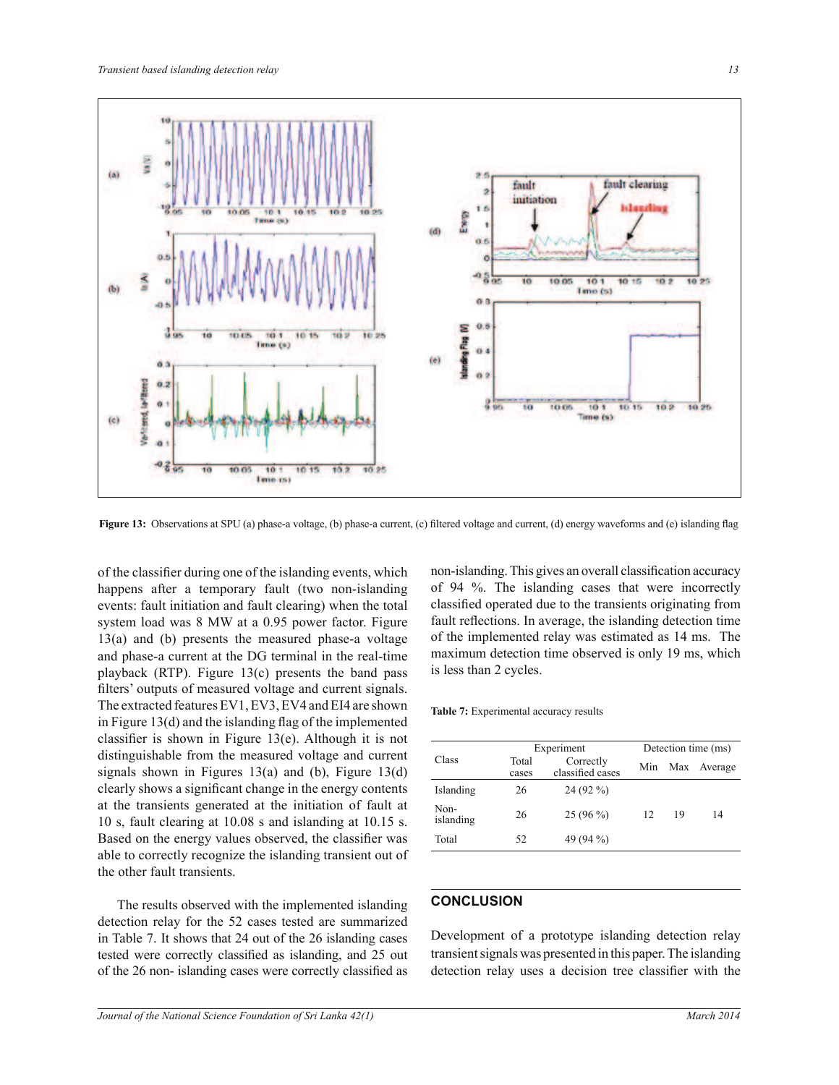![](_page_10_Figure_1.jpeg)

**Figure 13:** Observations at SPU (a) phase-a voltage, (b) phase-a current, (c) filtered voltage and current, (d) energy waveforms and (e) islanding flag

of the classifier during one of the islanding events, which happens after a temporary fault (two non-islanding events: fault initiation and fault clearing) when the total system load was 8 MW at a 0.95 power factor. Figure 13(a) and (b) presents the measured phase-a voltage and phase-a current at the DG terminal in the real-time playback (RTP). Figure 13(c) presents the band pass filters' outputs of measured voltage and current signals. The extracted features EV1, EV3, EV4 and EI4 are shown in Figure 13(d) and the islanding flag of the implemented classifier is shown in Figure 13(e). Although it is not distinguishable from the measured voltage and current signals shown in Figures  $13(a)$  and (b), Figure  $13(d)$ clearly shows a significant change in the energy contents at the transients generated at the initiation of fault at 10 s, fault clearing at 10.08 s and islanding at 10.15 s. Based on the energy values observed, the classifier was able to correctly recognize the islanding transient out of the other fault transients.

 The results observed with the implemented islanding detection relay for the 52 cases tested are summarized in Table 7. It shows that 24 out of the 26 islanding cases tested were correctly classified as islanding, and 25 out of the 26 non- islanding cases were correctly classified as

non-islanding. This gives an overall classification accuracy of 94 %. The islanding cases that were incorrectly classified operated due to the transients originating from fault reflections. In average, the islanding detection time of the implemented relay was estimated as 14 ms. The maximum detection time observed is only 19 ms, which is less than 2 cycles.

**Table 7:** Experimental accuracy results

|                   | Experiment     | Detection time (ms)           |     |    |             |
|-------------------|----------------|-------------------------------|-----|----|-------------|
| Class             | Total<br>cases | Correctly<br>classified cases | Min |    | Max Average |
| Islanding         | 26             | $24(92\%)$                    |     |    |             |
| Non-<br>islanding | 26             | $25(96\%)$                    | 12  | 19 | 14          |
| Total             | 52             | 49 (94 %)                     |     |    |             |

## **CONCLUSION**

Development of a prototype islanding detection relay transient signals was presented in this paper. The islanding detection relay uses a decision tree classifier with the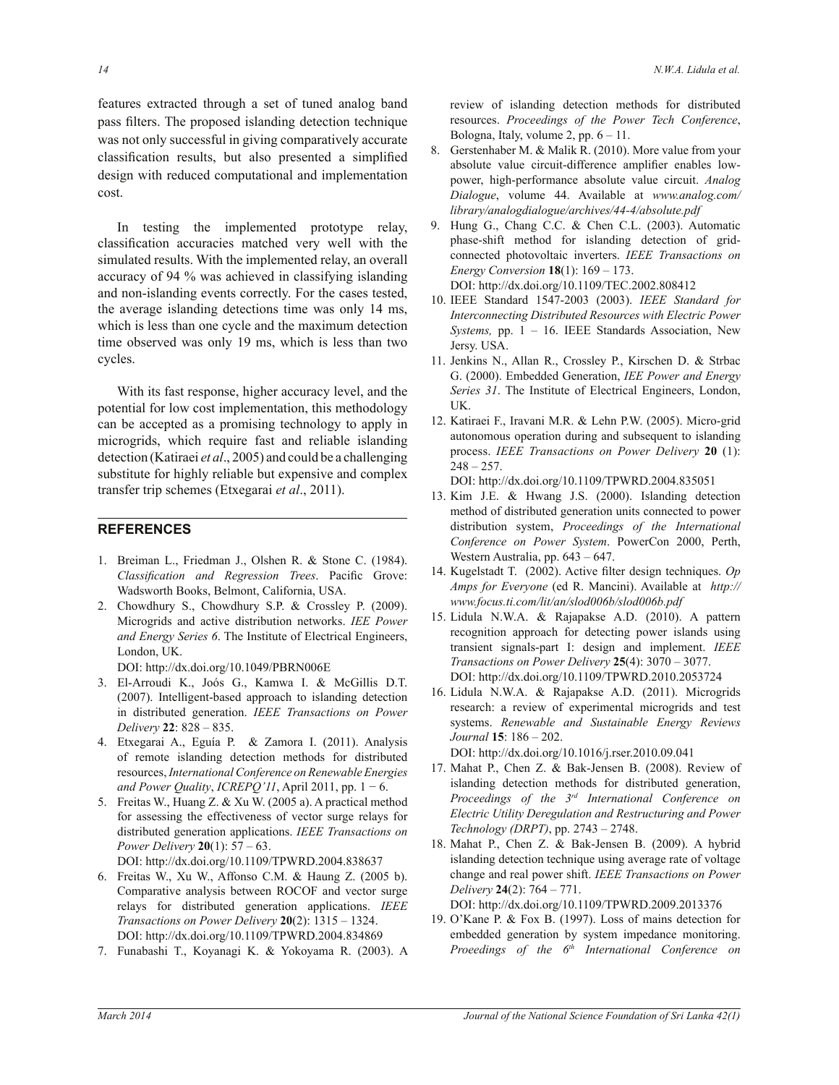features extracted through a set of tuned analog band pass filters. The proposed islanding detection technique was not only successful in giving comparatively accurate classification results, but also presented a simplified design with reduced computational and implementation cost.

In testing the implemented prototype relay, classification accuracies matched very well with the simulated results. With the implemented relay, an overall accuracy of 94 % was achieved in classifying islanding and non-islanding events correctly. For the cases tested, the average islanding detections time was only 14 ms, which is less than one cycle and the maximum detection time observed was only 19 ms, which is less than two cycles.

With its fast response, higher accuracy level, and the potential for low cost implementation, this methodology can be accepted as a promising technology to apply in microgrids, which require fast and reliable islanding detection (Katiraei *et al*., 2005) and could be a challenging substitute for highly reliable but expensive and complex transfer trip schemes (Etxegarai *et al*., 2011).

## **REFERENCES**

- 1. Breiman L., Friedman J., Olshen R. & Stone C. (1984). *Classification and Regression Trees*. Pacific Grove: Wadsworth Books, Belmont, California, USA.
- 2. Chowdhury S., Chowdhury S.P. & Crossley P. (2009). Microgrids and active distribution networks. *IEE Power and Energy Series 6*. The Institute of Electrical Engineers, London, UK.

DOI: http://dx.doi.org/10.1049/PBRN006E

- 3. El-Arroudi K., Joós G., Kamwa I. & McGillis D.T. (2007). Intelligent-based approach to islanding detection in distributed generation. *IEEE Transactions on Power Delivery* **22**: 828 – 835.
- 4. Etxegarai A., Eguía P. & Zamora I. (2011). Analysis of remote islanding detection methods for distributed resources, *International Conference on Renewable Energies and Power Quality*, *ICREPQ'11*, April 2011, pp. 1 − 6.
- 5. Freitas W., Huang Z. & Xu W. (2005 a). A practical method for assessing the effectiveness of vector surge relays for distributed generation applications. *IEEE Transactions on Power Delivery* **20**(1): 57 – 63.

DOI: http://dx.doi.org/10.1109/TPWRD.2004.838637

- 6. Freitas W., Xu W., Affonso C.M. & Haung Z. (2005 b). Comparative analysis between ROCOF and vector surge relays for distributed generation applications. *IEEE Transactions on Power Delivery* **20**(2): 1315 – 1324. DOI: http://dx.doi.org/10.1109/TPWRD.2004.834869
- 7. Funabashi T., Koyanagi K. & Yokoyama R. (2003). A

review of islanding detection methods for distributed resources. *Proceedings of the Power Tech Conference*, Bologna, Italy, volume 2, pp.  $6 - 11$ .

- 8. Gerstenhaber M. & Malik R. (2010). More value from your absolute value circuit-difference amplifier enables lowpower, high-performance absolute value circuit. *Analog Dialogue*, volume 44. Available at *www.analog.com/ library/analogdialogue/archives/44-4/absolute.pdf*
- 9. Hung G., Chang C.C. & Chen C.L. (2003). Automatic phase-shift method for islanding detection of gridconnected photovoltaic inverters. *IEEE Transactions on Energy Conversion* **18**(1): 169 – 173.

DOI: http://dx.doi.org/10.1109/TEC.2002.808412

- 10. IEEE Standard 1547-2003 (2003). *IEEE Standard for Interconnecting Distributed Resources with Electric Power Systems,* pp. 1 – 16. IEEE Standards Association, New Jersy. USA.
- 11. Jenkins N., Allan R., Crossley P., Kirschen D. & Strbac G. (2000). Embedded Generation, *IEE Power and Energy Series 31*. The Institute of Electrical Engineers, London, UK.
- 12. Katiraei F., Iravani M.R. & Lehn P.W. (2005). Micro-grid autonomous operation during and subsequent to islanding process. *IEEE Transactions on Power Delivery* **20** (1):  $248 - 257$ .

DOI: http://dx.doi.org/10.1109/TPWRD.2004.835051

- 13. Kim J.E. & Hwang J.S. (2000). Islanding detection method of distributed generation units connected to power distribution system, *Proceedings of the International Conference on Power System*. PowerCon 2000, Perth, Western Australia, pp. 643 – 647.
- 14. Kugelstadt T. (2002). Active filter design techniques. *Op Amps for Everyone* (ed R. Mancini). Available at *http:// www.focus.ti.com/lit/an/slod006b/slod006b.pdf*
- 15. Lidula N.W.A. & Rajapakse A.D. (2010). A pattern recognition approach for detecting power islands using transient signals-part I: design and implement. *IEEE Transactions on Power Delivery* **25**(4): 3070 – 3077. DOI: http://dx.doi.org/10.1109/TPWRD.2010.2053724
- 16. Lidula N.W.A. & Rajapakse A.D. (2011). Microgrids research: a review of experimental microgrids and test systems. *Renewable and Sustainable Energy Reviews Journal* **15**: 186 – 202.

DOI: http://dx.doi.org/10.1016/j.rser.2010.09.041

- 17. Mahat P., Chen Z. & Bak-Jensen B. (2008). Review of islanding detection methods for distributed generation, *Proceedings of the 3rd International Conference on Electric Utility Deregulation and Restructuring and Power Technology (DRPT)*, pp. 2743 – 2748.
- 18. Mahat P., Chen Z. & Bak-Jensen B. (2009). A hybrid islanding detection technique using average rate of voltage change and real power shift. *IEEE Transactions on Power Delivery* **24**(2): 764 – 771.

DOI: http://dx.doi.org/10.1109/TPWRD.2009.2013376

19. O'Kane P. & Fox B. (1997). Loss of mains detection for embedded generation by system impedance monitoring. *Proeedings of the 6th International Conference on*